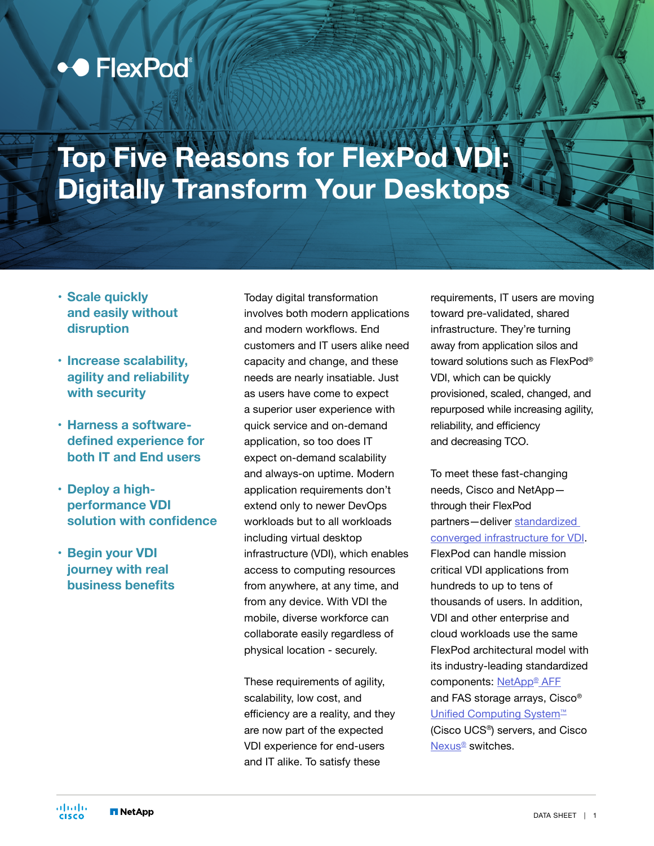## ◆● FlexPod®

# **Top Five Reasons for FlexPod VDI: Digitally Transform Your Desktops**

- **• Scale quickly and easily without disruption**
- **• Increase scalability, agility and reliability with security**
- **• Harness a softwaredefined experience for both IT and End users**
- **• Deploy a highperformance VDI solution with confidence**
- **• Begin your VDI journey with real business benefits**

Today digital transformation involves both modern applications and modern workflows. End customers and IT users alike need capacity and change, and these needs are nearly insatiable. Just as users have come to expect a superior user experience with quick service and on-demand application, so too does IT expect on-demand scalability and always-on uptime. Modern application requirements don't extend only to newer DevOps workloads but to all workloads including virtual desktop infrastructure (VDI), which enables access to computing resources from anywhere, at any time, and from any device. With VDI the mobile, diverse workforce can collaborate easily regardless of physical location - securely.

These requirements of agility, scalability, low cost, and efficiency are a reality, and they are now part of the expected VDI experience for end-users and IT alike. To satisfy these

requirements, IT users are moving toward pre-validated, shared infrastructure. They're turning away from application silos and toward solutions such as FlexPod® VDI, which can be quickly provisioned, scaled, changed, and repurposed while increasing agility, reliability, and efficiency and decreasing TCO.

To meet these fast-changing needs, Cisco and NetApp through their FlexPod partners—deliver [standardized](https://www.cisco.com/c/en/us/td/docs/unified_computing/ucs/UCS_CVDs/flexpod_ontap96_vmware710_67_u2_ucs_40_6700_seats.html#_Toc36197504)  [converged infrastructure for VDI](https://www.cisco.com/c/en/us/td/docs/unified_computing/ucs/UCS_CVDs/flexpod_ontap96_vmware710_67_u2_ucs_40_6700_seats.html#_Toc36197504). FlexPod can handle mission critical VDI applications from hundreds to up to tens of thousands of users. In addition, VDI and other enterprise and cloud workloads use the same FlexPod architectural model with its industry-leading standardized components: NetApp<sup>®</sup> AFF and FAS storage arrays, Cisco® [Unified Computing System](http://www.cisco.com/go/ucs)<sup>™</sup> (Cisco UCS®) servers, and Cisco [Nexus®](http://www.cisco.com/go/nexus) switches.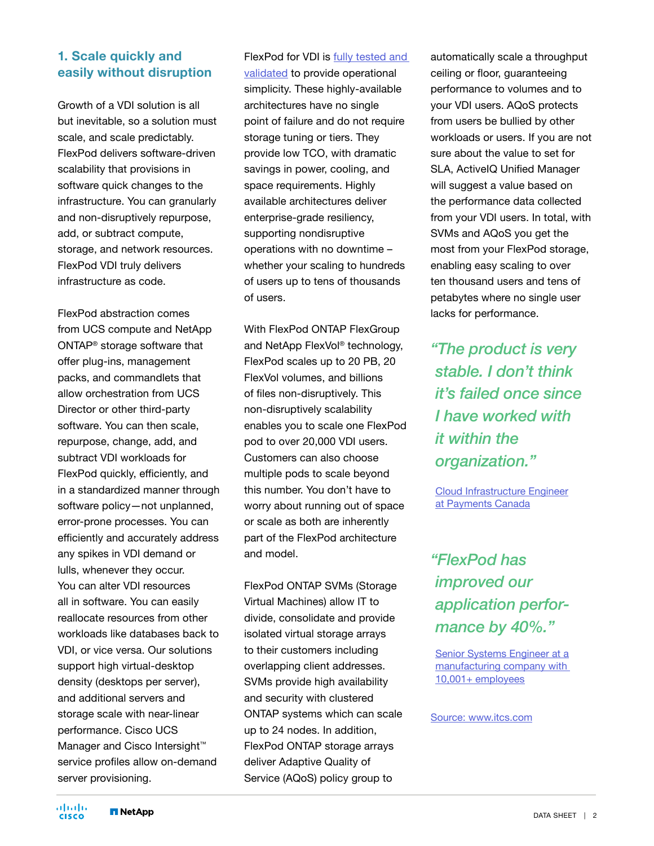#### **1. Scale quickly and easily without disruption**

Growth of a VDI solution is all but inevitable, so a solution must scale, and scale predictably. FlexPod delivers software-driven scalability that provisions in software quick changes to the infrastructure. You can granularly and non-disruptively repurpose, add, or subtract compute, storage, and network resources. FlexPod VDI truly delivers infrastructure as code.

FlexPod abstraction comes from UCS compute and NetApp ONTAP® storage software that offer plug-ins, management packs, and commandlets that allow orchestration from UCS Director or other third-party software. You can then scale, repurpose, change, add, and subtract VDI workloads for FlexPod quickly, efficiently, and in a standardized manner through software policy—not unplanned, error-prone processes. You can efficiently and accurately address any spikes in VDI demand or lulls, whenever they occur. You can alter VDI resources all in software. You can easily reallocate resources from other workloads like databases back to VDI, or vice versa. Our solutions support high virtual-desktop density (desktops per server), and additional servers and storage scale with near-linear performance. Cisco UCS Manager and Cisco Intersight™ service profiles allow on-demand server provisioning.

#### FlexPod for VDI is [fully tested and](https://www.cisco.com/c/en/us/td/docs/unified_computing/ucs/UCS_CVDs/flexpod_ontap96_vmware710_67_u2_ucs_40_6700_seats.html#_Toc36197504)

[validated](https://www.cisco.com/c/en/us/td/docs/unified_computing/ucs/UCS_CVDs/flexpod_ontap96_vmware710_67_u2_ucs_40_6700_seats.html#_Toc36197504) to provide operational simplicity. These highly-available architectures have no single point of failure and do not require storage tuning or tiers. They provide low TCO, with dramatic savings in power, cooling, and space requirements. Highly available architectures deliver enterprise-grade resiliency, supporting nondisruptive operations with no downtime – whether your scaling to hundreds of users up to tens of thousands of users.

With FlexPod ONTAP FlexGroup and NetApp FlexVol® technology, FlexPod scales up to 20 PB, 20 FlexVol volumes, and billions of files non-disruptively. This non-disruptively scalability enables you to scale one FlexPod pod to over 20,000 VDI users. Customers can also choose multiple pods to scale beyond this number. You don't have to worry about running out of space or scale as both are inherently part of the FlexPod architecture and model.

FlexPod ONTAP SVMs (Storage Virtual Machines) allow IT to divide, consolidate and provide isolated virtual storage arrays to their customers including overlapping client addresses. SVMs provide high availability and security with clustered ONTAP systems which can scale up to 24 nodes. In addition, FlexPod ONTAP storage arrays deliver Adaptive Quality of Service (AQoS) policy group to

automatically scale a throughput ceiling or floor, guaranteeing performance to volumes and to your VDI users. AQoS protects from users be bullied by other workloads or users. If you are not sure about the value to set for SLA, ActiveIQ Unified Manager will suggest a value based on the performance data collected from your VDI users. In total, with SVMs and AQoS you get the most from your FlexPod storage, enabling easy scaling to over ten thousand users and tens of petabytes where no single user lacks for performance.

*"The product is very stable. I don't think it's failed once since I have worked with it within the organization."*

[Cloud Infrastructure Engineer](https://www.itcentralstation.com/product_reviews/flexpod-review-63153-by-taylor-brown) [at Payments Canada](https://www.itcentralstation.com/product_reviews/flexpod-review-63153-by-taylor-brown)

### *"FlexPod has improved our application performance by 40%."*

[Senior Systems Engineer at a](https://www.itcentralstation.com/product_reviews/flexpod-review-67781-by-reviewer926175) [manufacturing company with](https://www.itcentralstation.com/product_reviews/flexpod-review-67781-by-reviewer926175)  [10,001+ employees](https://www.itcentralstation.com/product_reviews/flexpod-review-67781-by-reviewer926175)

Source: www.itcs.com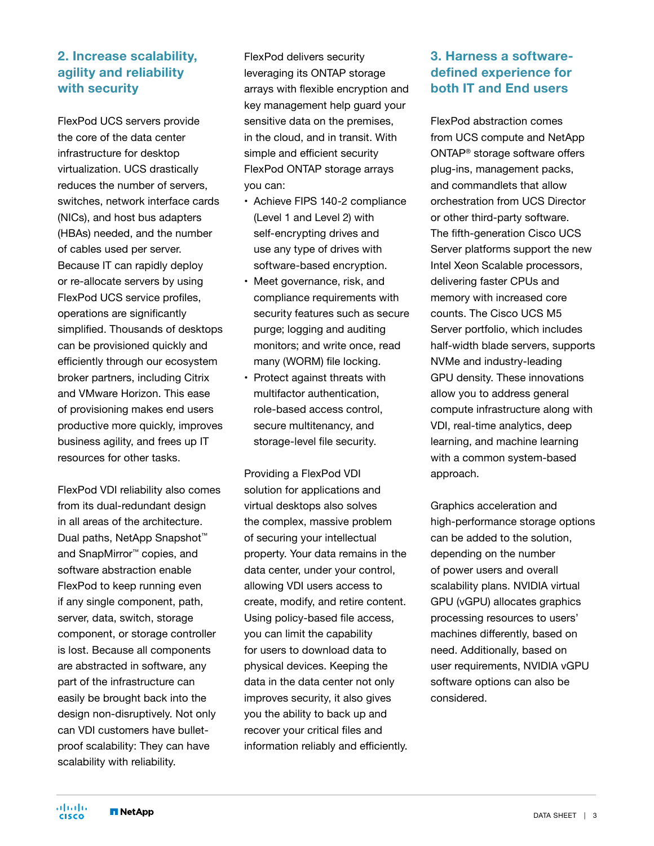#### **2. Increase scalability, agility and reliability with security**

FlexPod UCS servers provide the core of the data center infrastructure for desktop virtualization. UCS drastically reduces the number of servers, switches, network interface cards (NICs), and host bus adapters (HBAs) needed, and the number of cables used per server. Because IT can rapidly deploy or re-allocate servers by using FlexPod UCS service profiles, operations are significantly simplified. Thousands of desktops can be provisioned quickly and efficiently through our ecosystem broker partners, including Citrix and VMware Horizon. This ease of provisioning makes end users productive more quickly, improves business agility, and frees up IT resources for other tasks.

FlexPod VDI reliability also comes from its dual-redundant design in all areas of the architecture. Dual paths, NetApp Snapshot<sup>™</sup> and SnapMirror™ copies, and software abstraction enable FlexPod to keep running even if any single component, path, server, data, switch, storage component, or storage controller is lost. Because all components are abstracted in software, any part of the infrastructure can easily be brought back into the design non-disruptively. Not only can VDI customers have bulletproof scalability: They can have scalability with reliability.

FlexPod delivers security leveraging its ONTAP storage arrays with flexible encryption and key management help guard your sensitive data on the premises, in the cloud, and in transit. With simple and efficient security FlexPod ONTAP storage arrays you can:

- Achieve FIPS 140-2 compliance (Level 1 and Level 2) with self-encrypting drives and use any type of drives with software-based encryption.
- Meet governance, risk, and compliance requirements with security features such as secure purge; logging and auditing monitors; and write once, read many (WORM) file locking.
- Protect against threats with multifactor authentication, role-based access control, secure multitenancy, and storage-level file security.

Providing a FlexPod VDI solution for applications and virtual desktops also solves the complex, massive problem of securing your intellectual property. Your data remains in the data center, under your control, allowing VDI users access to create, modify, and retire content. Using policy-based file access, you can limit the capability for users to download data to physical devices. Keeping the data in the data center not only improves security, it also gives you the ability to back up and recover your critical files and information reliably and efficiently.

#### **3. Harness a softwaredefined experience for both IT and End users**

FlexPod abstraction comes from UCS compute and NetApp ONTAP® storage software offers plug-ins, management packs, and commandlets that allow orchestration from UCS Director or other third-party software. The fifth-generation Cisco UCS Server platforms support the new Intel Xeon Scalable processors, delivering faster CPUs and memory with increased core counts. The Cisco UCS M5 Server portfolio, which includes half-width blade servers, supports NVMe and industry-leading GPU density. These innovations allow you to address general compute infrastructure along with VDI, real-time analytics, deep learning, and machine learning with a common system-based approach.

Graphics acceleration and high-performance storage options can be added to the solution, depending on the number of power users and overall scalability plans. NVIDIA virtual GPU (vGPU) allocates graphics processing resources to users' machines differently, based on need. Additionally, based on user requirements, NVIDIA vGPU software options can also be considered.